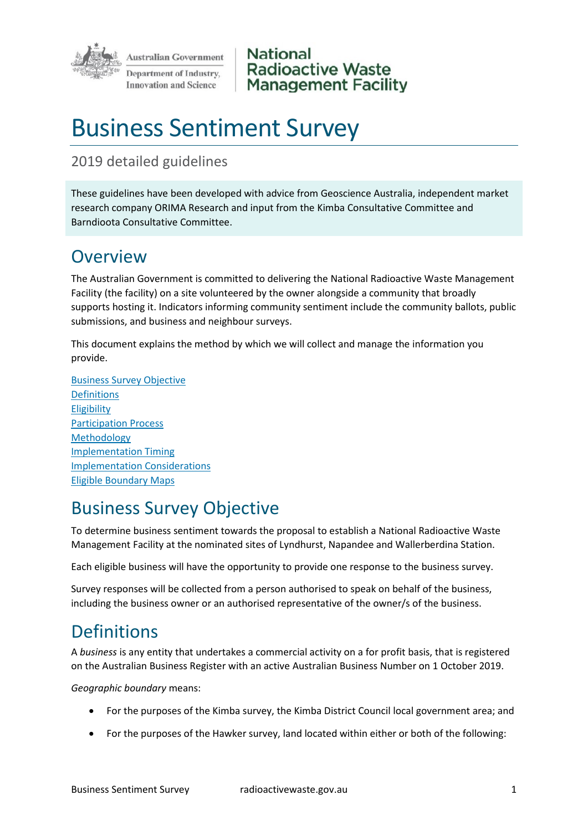

**National Radioactive Waste Management Facility** 

# Business Sentiment Survey

#### 2019 detailed guidelines

These guidelines have been developed with advice from Geoscience Australia, independent market research company ORIMA Research and input from the Kimba Consultative Committee and Barndioota Consultative Committee.

### **Overview**

The Australian Government is committed to delivering the National Radioactive Waste Management Facility (the facility) on a site volunteered by the owner alongside a community that broadly supports hosting it. Indicators informing community sentiment include the community ballots, public submissions, and business and neighbour surveys.

This document explains the method by which we will collect and manage the information you provide.

Business Survey Objective Definitions Eligibility Participation Process Methodology Implementation Timing Implementation Considerations Eligible Boundary Maps

# Business Survey Objective

To determine business sentiment towards the proposal to establish a National Radioactive Waste Management Facility at the nominated sites of Lyndhurst, Napandee and Wallerberdina Station.

Each eligible business will have the opportunity to provide one response to the business survey.

Survey responses will be collected from a person authorised to speak on behalf of the business, including the business owner or an authorised representative of the owner/s of the business.

# Definitions

A *business* is any entity that undertakes a commercial activity on a for profit basis, that is registered on the Australian Business Register with an active Australian Business Number on 1 October 2019.

*Geographic boundary* means:

- For the purposes of the Kimba survey, the Kimba District Council local government area; and
- For the purposes of the Hawker survey, land located within either or both of the following: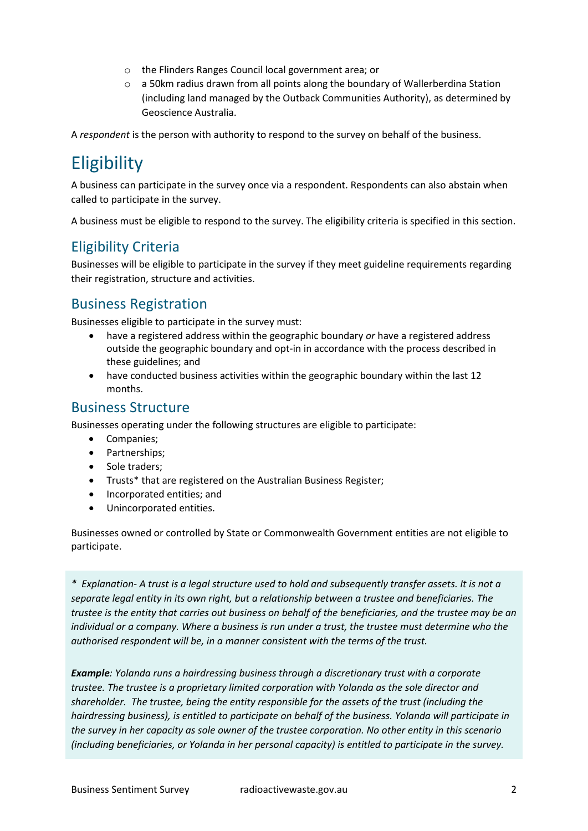- o the Flinders Ranges Council local government area; or
- $\circ$  a 50km radius drawn from all points along the boundary of Wallerberdina Station (including land managed by the Outback Communities Authority), as determined by Geoscience Australia.

A *respondent* is the person with authority to respond to the survey on behalf of the business.

# **Eligibility**

A business can participate in the survey once via a respondent. Respondents can also abstain when called to participate in the survey.

A business must be eligible to respond to the survey. The eligibility criteria is specified in this section.

#### Eligibility Criteria

Businesses will be eligible to participate in the survey if they meet guideline requirements regarding their registration, structure and activities.

#### Business Registration

Businesses eligible to participate in the survey must:

- have a registered address within the geographic boundary *or* have a registered address outside the geographic boundary and opt-in in accordance with the process described in these guidelines; and
- have conducted business activities within the geographic boundary within the last 12 months.

#### Business Structure

Businesses operating under the following structures are eligible to participate:

- Companies;
- Partnerships;
- Sole traders;
- Trusts\* that are registered on the Australian Business Register;
- Incorporated entities; and
- Unincorporated entities.

Businesses owned or controlled by State or Commonwealth Government entities are not eligible to participate.

*\* Explanation- A trust is a legal structure used to hold and subsequently transfer assets. It is not a separate legal entity in its own right, but a relationship between a trustee and beneficiaries. The trustee is the entity that carries out business on behalf of the beneficiaries, and the trustee may be an individual or a company. Where a business is run under a trust, the trustee must determine who the authorised respondent will be, in a manner consistent with the terms of the trust.* 

*Example: Yolanda runs a hairdressing business through a discretionary trust with a corporate trustee. The trustee is a proprietary limited corporation with Yolanda as the sole director and shareholder. The trustee, being the entity responsible for the assets of the trust (including the hairdressing business), is entitled to participate on behalf of the business. Yolanda will participate in the survey in her capacity as sole owner of the trustee corporation. No other entity in this scenario (including beneficiaries, or Yolanda in her personal capacity) is entitled to participate in the survey.*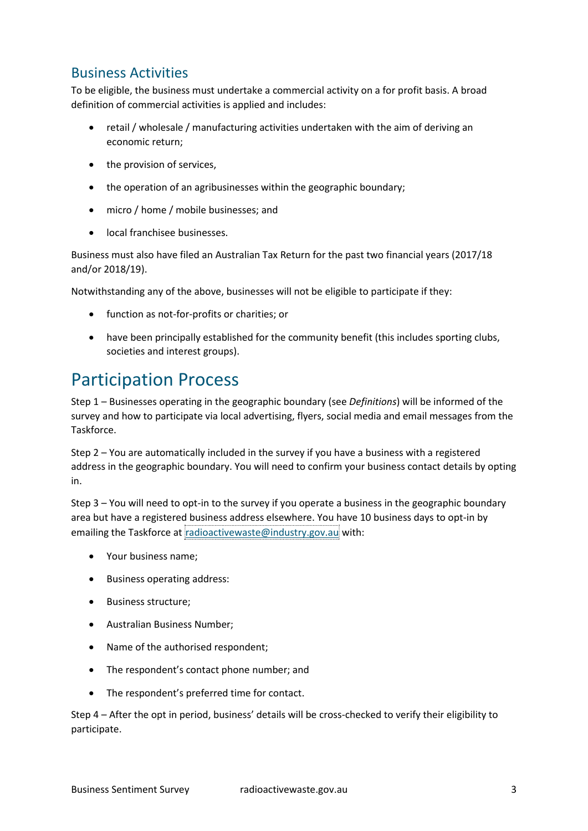#### Business Activities

To be eligible, the business must undertake a commercial activity on a for profit basis. A broad definition of commercial activities is applied and includes:

- retail / wholesale / manufacturing activities undertaken with the aim of deriving an economic return;
- the provision of services,
- the operation of an agribusinesses within the geographic boundary;
- micro / home / mobile businesses; and
- local franchisee businesses.

Business must also have filed an Australian Tax Return for the past two financial years (2017/18 and/or 2018/19).

Notwithstanding any of the above, businesses will not be eligible to participate if they:

- function as not-for-profits or charities; or
- have been principally established for the community benefit (this includes sporting clubs, societies and interest groups).

# Participation Process

Step 1 – Businesses operating in the geographic boundary (see *Definitions*) will be informed of the survey and how to participate via local advertising, flyers, social media and email messages from the Taskforce.

Step 2 – You are automatically included in the survey if you have a business with a registered address in the geographic boundary. You will need to confirm your business contact details by opting in.

Step 3 – You will need to opt-in to the survey if you operate a business in the geographic boundary area but have a registered business address elsewhere. You have 10 business days to opt-in by emailing the Taskforce at [radioactivewaste@industry.gov.au](mailto:radioactivewaste@industry.gov.au) with:

- Your business name;
- Business operating address:
- Business structure;
- Australian Business Number;
- Name of the authorised respondent;
- The respondent's contact phone number; and
- The respondent's preferred time for contact.

Step 4 – After the opt in period, business' details will be cross-checked to verify their eligibility to participate.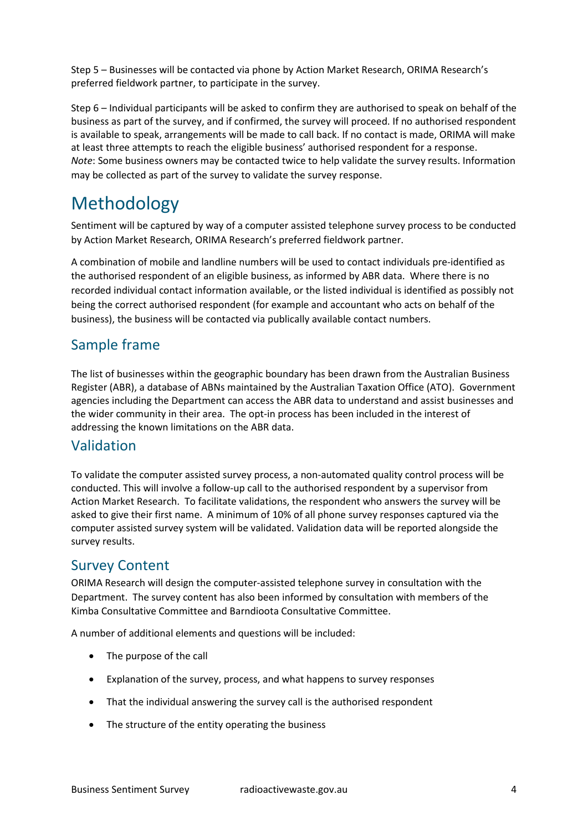Step 5 – Businesses will be contacted via phone by Action Market Research, ORIMA Research's preferred fieldwork partner, to participate in the survey.

Step 6 – Individual participants will be asked to confirm they are authorised to speak on behalf of the business as part of the survey, and if confirmed, the survey will proceed. If no authorised respondent is available to speak, arrangements will be made to call back. If no contact is made, ORIMA will make at least three attempts to reach the eligible business' authorised respondent for a response. *Note*: Some business owners may be contacted twice to help validate the survey results. Information may be collected as part of the survey to validate the survey response.

### Methodology

Sentiment will be captured by way of a computer assisted telephone survey process to be conducted by Action Market Research, ORIMA Research's preferred fieldwork partner.

A combination of mobile and landline numbers will be used to contact individuals pre-identified as the authorised respondent of an eligible business, as informed by ABR data. Where there is no recorded individual contact information available, or the listed individual is identified as possibly not being the correct authorised respondent (for example and accountant who acts on behalf of the business), the business will be contacted via publically available contact numbers.

#### Sample frame

The list of businesses within the geographic boundary has been drawn from the Australian Business Register (ABR), a database of ABNs maintained by the Australian Taxation Office (ATO). Government agencies including the Department can access the ABR data to understand and assist businesses and the wider community in their area. The opt-in process has been included in the interest of addressing the known limitations on the ABR data.

#### Validation

To validate the computer assisted survey process, a non-automated quality control process will be conducted. This will involve a follow-up call to the authorised respondent by a supervisor from Action Market Research. To facilitate validations, the respondent who answers the survey will be asked to give their first name. A minimum of 10% of all phone survey responses captured via the computer assisted survey system will be validated. Validation data will be reported alongside the survey results.

#### Survey Content

ORIMA Research will design the computer-assisted telephone survey in consultation with the Department. The survey content has also been informed by consultation with members of the Kimba Consultative Committee and Barndioota Consultative Committee.

A number of additional elements and questions will be included:

- The purpose of the call
- Explanation of the survey, process, and what happens to survey responses
- That the individual answering the survey call is the authorised respondent
- The structure of the entity operating the business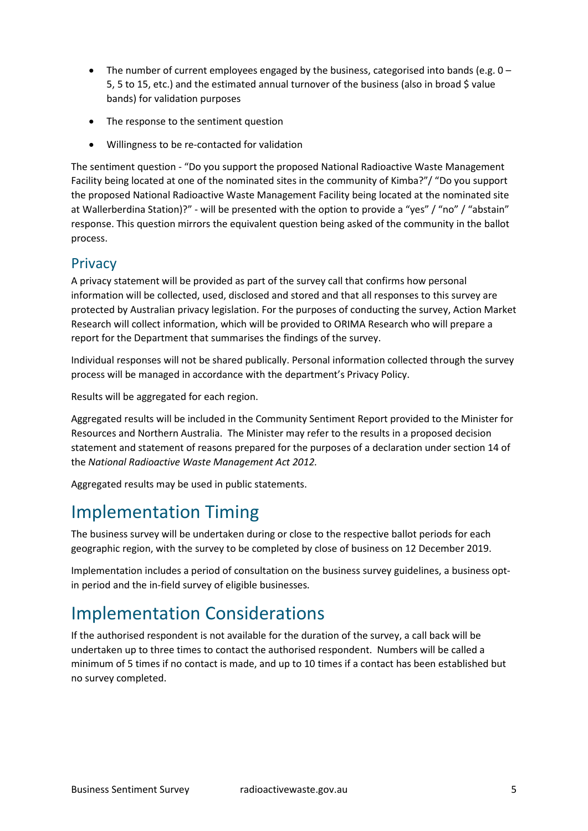- The number of current employees engaged by the business, categorised into bands (e.g. 0 5, 5 to 15, etc.) and the estimated annual turnover of the business (also in broad \$ value bands) for validation purposes
- The response to the sentiment question
- Willingness to be re-contacted for validation

The sentiment question - "Do you support the proposed National Radioactive Waste Management Facility being located at one of the nominated sites in the community of Kimba?"/ "Do you support the proposed National Radioactive Waste Management Facility being located at the nominated site at Wallerberdina Station)?" - will be presented with the option to provide a "yes" / "no" / "abstain" response. This question mirrors the equivalent question being asked of the community in the ballot process.

#### **Privacy**

A privacy statement will be provided as part of the survey call that confirms how personal information will be collected, used, disclosed and stored and that all responses to this survey are protected by Australian privacy legislation. For the purposes of conducting the survey, Action Market Research will collect information, which will be provided to ORIMA Research who will prepare a report for the Department that summarises the findings of the survey.

Individual responses will not be shared publically. Personal information collected through the survey process will be managed in accordance with the department's Privacy Policy.

Results will be aggregated for each region.

Aggregated results will be included in the Community Sentiment Report provided to the Minister for Resources and Northern Australia. The Minister may refer to the results in a proposed decision statement and statement of reasons prepared for the purposes of a declaration under section 14 of the *National Radioactive Waste Management Act 2012.*

Aggregated results may be used in public statements.

### Implementation Timing

The business survey will be undertaken during or close to the respective ballot periods for each geographic region, with the survey to be completed by close of business on 12 December 2019.

Implementation includes a period of consultation on the business survey guidelines, a business optin period and the in-field survey of eligible businesses.

# Implementation Considerations

If the authorised respondent is not available for the duration of the survey, a call back will be undertaken up to three times to contact the authorised respondent. Numbers will be called a minimum of 5 times if no contact is made, and up to 10 times if a contact has been established but no survey completed.